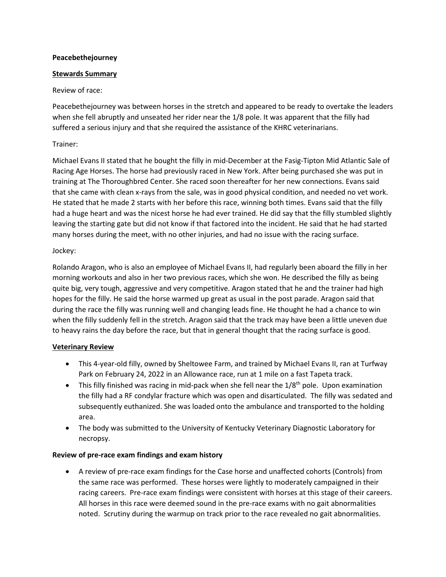### **Peacebethejourney**

# **Stewards Summary**

# Review of race:

Peacebethejourney was between horses in the stretch and appeared to be ready to overtake the leaders when she fell abruptly and unseated her rider near the 1/8 pole. It was apparent that the filly had suffered a serious injury and that she required the assistance of the KHRC veterinarians.

# Trainer:

Michael Evans II stated that he bought the filly in mid-December at the Fasig-Tipton Mid Atlantic Sale of Racing Age Horses. The horse had previously raced in New York. After being purchased she was put in training at The Thoroughbred Center. She raced soon thereafter for her new connections. Evans said that she came with clean x-rays from the sale, was in good physical condition, and needed no vet work. He stated that he made 2 starts with her before this race, winning both times. Evans said that the filly had a huge heart and was the nicest horse he had ever trained. He did say that the filly stumbled slightly leaving the starting gate but did not know if that factored into the incident. He said that he had started many horses during the meet, with no other injuries, and had no issue with the racing surface.

# Jockey:

Rolando Aragon, who is also an employee of Michael Evans II, had regularly been aboard the filly in her morning workouts and also in her two previous races, which she won. He described the filly as being quite big, very tough, aggressive and very competitive. Aragon stated that he and the trainer had high hopes for the filly. He said the horse warmed up great as usual in the post parade. Aragon said that during the race the filly was running well and changing leads fine. He thought he had a chance to win when the filly suddenly fell in the stretch. Aragon said that the track may have been a little uneven due to heavy rains the day before the race, but that in general thought that the racing surface is good.

### **Veterinary Review**

- This 4-year-old filly, owned by Sheltowee Farm, and trained by Michael Evans II, ran at Turfway Park on February 24, 2022 in an Allowance race, run at 1 mile on a fast Tapeta track.
- This filly finished was racing in mid-pack when she fell near the  $1/8^{th}$  pole. Upon examination the filly had a RF condylar fracture which was open and disarticulated. The filly was sedated and subsequently euthanized. She was loaded onto the ambulance and transported to the holding area.
- The body was submitted to the University of Kentucky Veterinary Diagnostic Laboratory for necropsy.

# **Review of pre-race exam findings and exam history**

 A review of pre-race exam findings for the Case horse and unaffected cohorts (Controls) from the same race was performed. These horses were lightly to moderately campaigned in their racing careers. Pre-race exam findings were consistent with horses at this stage of their careers. All horses in this race were deemed sound in the pre-race exams with no gait abnormalities noted. Scrutiny during the warmup on track prior to the race revealed no gait abnormalities.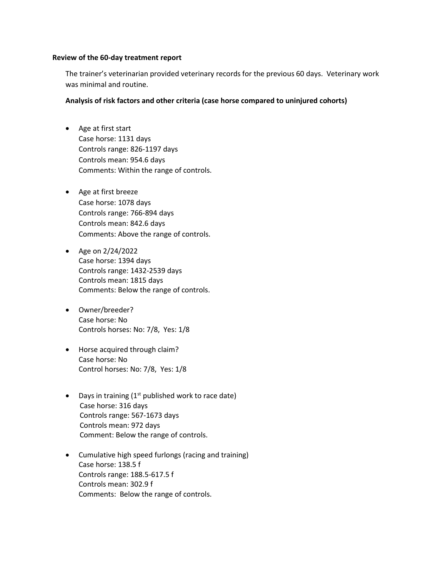#### **Review of the 60-day treatment report**

The trainer's veterinarian provided veterinary records for the previous 60 days. Veterinary work was minimal and routine.

### **Analysis of risk factors and other criteria (case horse compared to uninjured cohorts)**

- Age at first start Case horse: 1131 days Controls range: 826-1197 days Controls mean: 954.6 days Comments: Within the range of controls.
- Age at first breeze Case horse: 1078 days Controls range: 766-894 days Controls mean: 842.6 days Comments: Above the range of controls.
- Age on  $2/24/2022$ Case horse: 1394 days Controls range: 1432-2539 days Controls mean: 1815 days Comments: Below the range of controls.
- Owner/breeder? Case horse: No Controls horses: No: 7/8, Yes: 1/8
- Horse acquired through claim? Case horse: No Control horses: No: 7/8, Yes: 1/8
- Days in training  $(1<sup>st</sup>$  published work to race date) Case horse: 316 days Controls range: 567-1673 days Controls mean: 972 days Comment: Below the range of controls.
- Cumulative high speed furlongs (racing and training) Case horse: 138.5 f Controls range: 188.5-617.5 f Controls mean: 302.9 f Comments: Below the range of controls.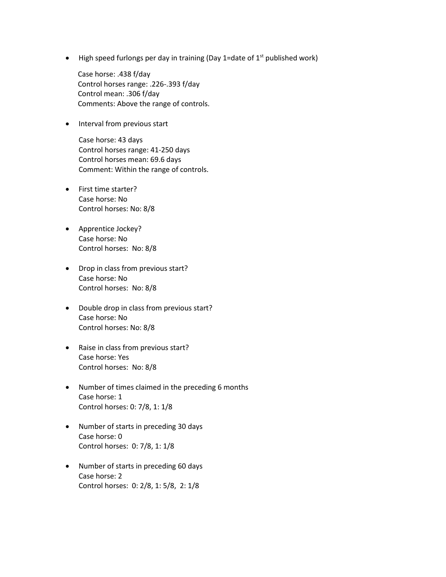$\bullet$  High speed furlongs per day in training (Day 1=date of 1<sup>st</sup> published work)

Case horse: .438 f/day Control horses range: .226-.393 f/day Control mean: .306 f/day Comments: Above the range of controls.

• Interval from previous start

Case horse: 43 days Control horses range: 41-250 days Control horses mean: 69.6 days Comment: Within the range of controls.

- First time starter? Case horse: No Control horses: No: 8/8
- Apprentice Jockey? Case horse: No Control horses: No: 8/8
- Drop in class from previous start? Case horse: No Control horses: No: 8/8
- Double drop in class from previous start? Case horse: No Control horses: No: 8/8
- Raise in class from previous start? Case horse: Yes Control horses: No: 8/8
- Number of times claimed in the preceding 6 months Case horse: 1 Control horses: 0: 7/8, 1: 1/8
- Number of starts in preceding 30 days Case horse: 0 Control horses: 0: 7/8, 1: 1/8
- Number of starts in preceding 60 days Case horse: 2 Control horses: 0: 2/8, 1: 5/8, 2: 1/8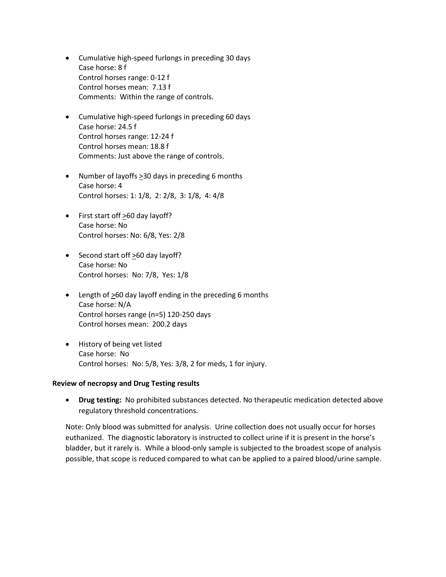- Cumulative high-speed furlongs in preceding 30 days Case horse: 8 f Control horses range: 0-12 f Control horses mean: 7.13 f Comments: Within the range of controls.
- Cumulative high-speed furlongs in preceding 60 days Case horse: 24.5 f Control horses range: 12-24 f Control horses mean: 18.8 f Comments: Just above the range of controls.
- Number of layoffs  $\geq$ 30 days in preceding 6 months Case horse: 4 Control horses: 1: 1/8, 2: 2/8, 3: 1/8, 4: 4/8
- First start off  $\geq 60$  day layoff? Case horse: No Control horses: No: 6/8, Yes: 2/8
- Second start off  $\geq 60$  day layoff? Case horse: No Control horses: No: 7/8, Yes: 1/8
- Length of >60 day layoff ending in the preceding 6 months Case horse: N/A Control horses range (n=5) 120-250 days Control horses mean: 200.2 days
- History of being vet listed Case horse: No Control horses: No: 5/8, Yes: 3/8, 2 for meds, 1 for injury.

### **Review of necropsy and Drug Testing results**

 **Drug testing:** No prohibited substances detected. No therapeutic medication detected above regulatory threshold concentrations.

Note: Only blood was submitted for analysis. Urine collection does not usually occur for horses euthanized. The diagnostic laboratory is instructed to collect urine if it is present in the horse's bladder, but it rarely is. While a blood-only sample is subjected to the broadest scope of analysis possible, that scope is reduced compared to what can be applied to a paired blood/urine sample.